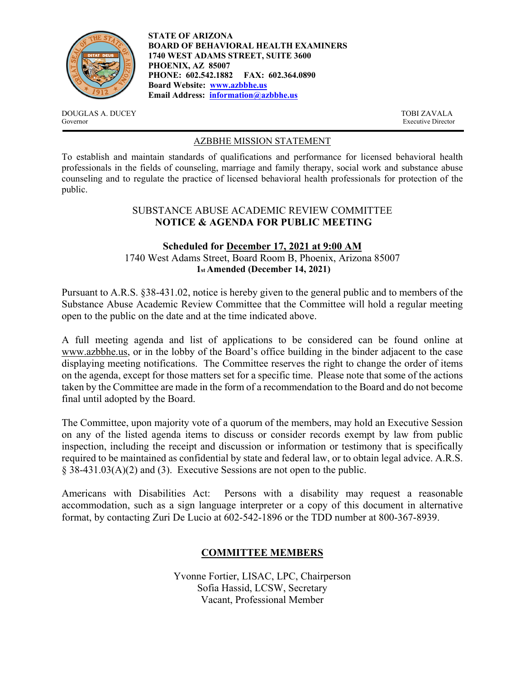

**STATE OF ARIZONA BOARD OF BEHAVIORAL HEALTH EXAMINERS 1740 WEST ADAMS STREET, SUITE 3600 PHOENIX, AZ 85007 PHONE: 602.542.1882 FAX: 602.364.0890 Board Website: www.azbbhe.us Email Address: information@azbbhe.us**

DOUGLAS A. DUCEY TOBI ZAVALA Governor Executive Director

## AZBBHE MISSION STATEMENT

To establish and maintain standards of qualifications and performance for licensed behavioral health professionals in the fields of counseling, marriage and family therapy, social work and substance abuse counseling and to regulate the practice of licensed behavioral health professionals for protection of the public.

#### SUBSTANCE ABUSE ACADEMIC REVIEW COMMITTEE **NOTICE & AGENDA FOR PUBLIC MEETING**

#### **Scheduled for December 17, 2021 at 9:00 AM**  1740 West Adams Street, Board Room B, Phoenix, Arizona 85007 **1st Amended (December 14, 2021)**

Pursuant to A.R.S. §38-431.02, notice is hereby given to the general public and to members of the Substance Abuse Academic Review Committee that the Committee will hold a regular meeting open to the public on the date and at the time indicated above.

A full meeting agenda and list of applications to be considered can be found online at www.azbbhe.us, or in the lobby of the Board's office building in the binder adjacent to the case displaying meeting notifications. The Committee reserves the right to change the order of items on the agenda, except for those matters set for a specific time. Please note that some of the actions taken by the Committee are made in the form of a recommendation to the Board and do not become final until adopted by the Board.

The Committee, upon majority vote of a quorum of the members, may hold an Executive Session on any of the listed agenda items to discuss or consider records exempt by law from public inspection, including the receipt and discussion or information or testimony that is specifically required to be maintained as confidential by state and federal law, or to obtain legal advice. A.R.S. § 38-431.03(A)(2) and (3). Executive Sessions are not open to the public.

Americans with Disabilities Act: Persons with a disability may request a reasonable accommodation, such as a sign language interpreter or a copy of this document in alternative format, by contacting Zuri De Lucio at 602-542-1896 or the TDD number at 800-367-8939.

# **COMMITTEE MEMBERS**

Yvonne Fortier, LISAC, LPC, Chairperson Sofia Hassid, LCSW, Secretary Vacant, Professional Member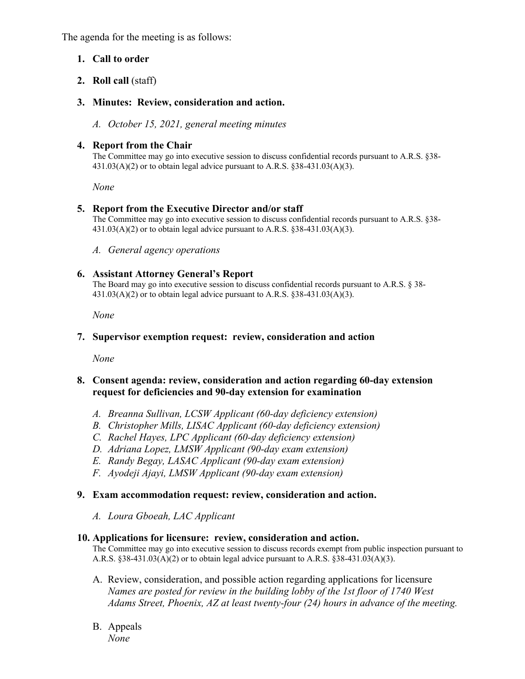The agenda for the meeting is as follows:

# **1. Call to order**

**2. Roll call** (staff)

# **3. Minutes: Review, consideration and action.**

*A. October 15, 2021, general meeting minutes* 

## **4. Report from the Chair**

The Committee may go into executive session to discuss confidential records pursuant to A.R.S. §38-  $431.03(A)(2)$  or to obtain legal advice pursuant to A.R.S. §38-431.03(A)(3).

 *None* 

# **5. Report from the Executive Director and/or staff**

The Committee may go into executive session to discuss confidential records pursuant to A.R.S. §38-  $431.03(A)(2)$  or to obtain legal advice pursuant to A.R.S. §38-431.03(A)(3).

*A. General agency operations* 

# **6. Assistant Attorney General's Report**

The Board may go into executive session to discuss confidential records pursuant to A.R.S. § 38-  $431.03(A)(2)$  or to obtain legal advice pursuant to A.R.S.  $§ 38-431.03(A)(3)$ .

 *None* 

## **7. Supervisor exemption request: review, consideration and action**

 *None* 

### **8. Consent agenda: review, consideration and action regarding 60-day extension request for deficiencies and 90-day extension for examination**

- *A. Breanna Sullivan, LCSW Applicant (60-day deficiency extension)*
- *B. Christopher Mills, LISAC Applicant (60-day deficiency extension)*
- *C. Rachel Hayes, LPC Applicant (60-day deficiency extension)*
- *D. Adriana Lopez, LMSW Applicant (90-day exam extension)*
- *E. Randy Begay, LASAC Applicant (90-day exam extension)*
- *F. Ayodeji Ajayi, LMSW Applicant (90-day exam extension)*

### **9. Exam accommodation request: review, consideration and action.**

*A. Loura Gboeah, LAC Applicant* 

#### **10. Applications for licensure: review, consideration and action.**

The Committee may go into executive session to discuss records exempt from public inspection pursuant to A.R.S.  $§38-431.03(A)(2)$  or to obtain legal advice pursuant to A.R.S.  $§38-431.03(A)(3)$ .

- A. Review, consideration, and possible action regarding applications for licensure  *Names are posted for review in the building lobby of the 1st floor of 1740 West Adams Street, Phoenix, AZ at least twenty-four (24) hours in advance of the meeting.*
- B. Appeals *None*